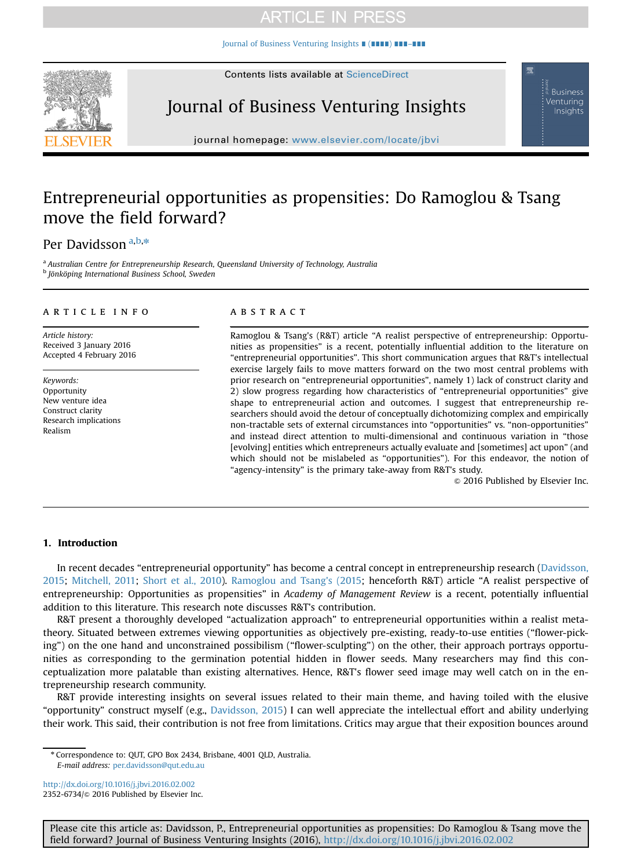# **ARTICLE IN PRESS**

[Journal of Business Venturing Insights](http://dx.doi.org/10.1016/j.jbvi.2016.02.002) ∎ (∎∎∎∎) ∎∎∎–∎∎∎



Journal of Business Venturing Insights

**Business** Venturing Insights

journal homepage: <www.elsevier.com/locate/jbvi>

# Entrepreneurial opportunities as propensities: Do Ramoglou & Tsang move the field forward?

## Per Davidsson<sup>a,b,\*</sup>

<sup>a</sup> Australian Centre for Entrepreneurship Research, Queensland University of Technology, Australia <sup>b</sup> Jönköping International Business School, Sweden

#### article info

Article history: Received 3 January 2016 Accepted 4 February 2016

Keywords: Opportunity New venture idea Construct clarity Research implications Realism

### **ABSTRACT**

Ramoglou & Tsang's (R&T) article "A realist perspective of entrepreneurship: Opportunities as propensities" is a recent, potentially influential addition to the literature on "entrepreneurial opportunities". This short communication argues that R&T's intellectual exercise largely fails to move matters forward on the two most central problems with prior research on "entrepreneurial opportunities", namely 1) lack of construct clarity and 2) slow progress regarding how characteristics of "entrepreneurial opportunities" give shape to entrepreneurial action and outcomes. I suggest that entrepreneurship researchers should avoid the detour of conceptually dichotomizing complex and empirically non-tractable sets of external circumstances into "opportunities" vs. "non-opportunities" and instead direct attention to multi-dimensional and continuous variation in "those [evolving] entities which entrepreneurs actually evaluate and [sometimes] act upon" (and which should not be mislabeled as "opportunities"). For this endeavor, the notion of "agency-intensity" is the primary take-away from R&T's study.

 $\odot$  2016 Published by Elsevier Inc.

### 1. Introduction

In recent decades "entrepreneurial opportunity" has become a central concept in entrepreneurship research ([Davidsson,](#page-3-0) [2015](#page-3-0); [Mitchell, 2011;](#page-3-0) [Short et al., 2010](#page-3-0)). [Ramoglou and Tsang's \(2015](#page-3-0); henceforth R&T) article "A realist perspective of entrepreneurship: Opportunities as propensities" in Academy of Management Review is a recent, potentially influential addition to this literature. This research note discusses R&T's contribution.

R&T present a thoroughly developed "actualization approach" to entrepreneurial opportunities within a realist metatheory. Situated between extremes viewing opportunities as objectively pre-existing, ready-to-use entities ("flower-picking") on the one hand and unconstrained possibilism ("flower-sculpting") on the other, their approach portrays opportunities as corresponding to the germination potential hidden in flower seeds. Many researchers may find this conceptualization more palatable than existing alternatives. Hence, R&T's flower seed image may well catch on in the entrepreneurship research community.

R&T provide interesting insights on several issues related to their main theme, and having toiled with the elusive "opportunity" construct myself (e.g., [Davidsson, 2015](#page-3-0)) I can well appreciate the intellectual effort and ability underlying their work. This said, their contribution is not free from limitations. Critics may argue that their exposition bounces around

<http://dx.doi.org/10.1016/j.jbvi.2016.02.002> 2352-6734/@ 2016 Published by Elsevier Inc.

Please cite this article as: Davidsson, P., Entrepreneurial opportunities as propensities: Do Ramoglou & Tsang move the field forward? Journal of Business Venturing Insights (2016), http://dx.doi.org/10.1016/j.jbvi.2016.02.002

<sup>n</sup> Correspondence to: QUT, GPO Box 2434, Brisbane, 4001 QLD, Australia. E-mail address: [per.davidsson@qut.edu.au](mailto:per.davidsson@qut.edu.au)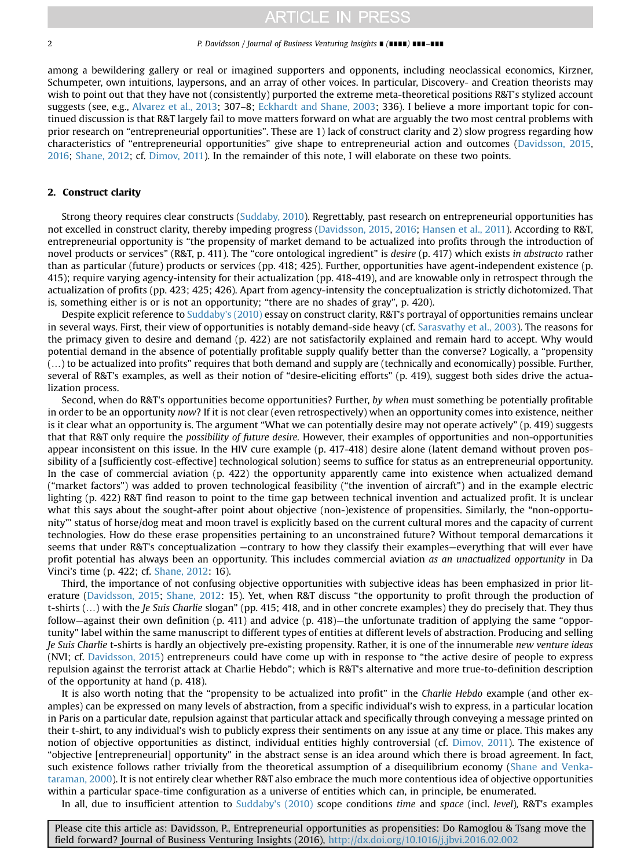### **ARTICLE IN PRESS**

#### 2 P. Davidsson / Journal of Business Venturing Insights ∎ (∎∎∎∎) ∎∎∎–∎∎∎

among a bewildering gallery or real or imagined supporters and opponents, including neoclassical economics, Kirzner, Schumpeter, own intuitions, laypersons, and an array of other voices. In particular, Discovery- and Creation theorists may wish to point out that they have not (consistently) purported the extreme meta-theoretical positions R&T's stylized account suggests (see, e.g., [Alvarez et al., 2013;](#page-3-0) 307–8; [Eckhardt and Shane, 2003](#page-3-0); 336). I believe a more important topic for continued discussion is that R&T largely fail to move matters forward on what are arguably the two most central problems with prior research on "entrepreneurial opportunities". These are 1) lack of construct clarity and 2) slow progress regarding how characteristics of "entrepreneurial opportunities" give shape to entrepreneurial action and outcomes ([Davidsson, 2015](#page-3-0), [2016](#page-3-0); [Shane, 2012;](#page-3-0) cf. [Dimov, 2011](#page-3-0)). In the remainder of this note, I will elaborate on these two points.

### 2. Construct clarity

Strong theory requires clear constructs [\(Suddaby, 2010\)](#page-3-0). Regrettably, past research on entrepreneurial opportunities has not excelled in construct clarity, thereby impeding progress [\(Davidsson, 2015](#page-3-0), [2016;](#page-3-0) [Hansen et al., 2011\)](#page-3-0). According to R&T, entrepreneurial opportunity is "the propensity of market demand to be actualized into profits through the introduction of novel products or services" (R&T, p. 411). The "core ontological ingredient" is desire (p. 417) which exists in abstracto rather than as particular (future) products or services (pp. 418; 425). Further, opportunities have agent-independent existence (p. 415); require varying agency-intensity for their actualization (pp. 418-419), and are knowable only in retrospect through the actualization of profits (pp. 423; 425; 426). Apart from agency-intensity the conceptualization is strictly dichotomized. That is, something either is or is not an opportunity; "there are no shades of gray", p. 420).

Despite explicit reference to [Suddaby's \(2010\)](#page-3-0) essay on construct clarity, R&T's portrayal of opportunities remains unclear in several ways. First, their view of opportunities is notably demand-side heavy (cf. [Sarasvathy et al., 2003\)](#page-3-0). The reasons for the primacy given to desire and demand (p. 422) are not satisfactorily explained and remain hard to accept. Why would potential demand in the absence of potentially profitable supply qualify better than the converse? Logically, a "propensity (…) to be actualized into profits" requires that both demand and supply are (technically and economically) possible. Further, several of R&T's examples, as well as their notion of "desire-eliciting efforts" (p. 419), suggest both sides drive the actualization process.

Second, when do R&T's opportunities become opportunities? Further, by when must something be potentially profitable in order to be an opportunity now? If it is not clear (even retrospectively) when an opportunity comes into existence, neither is it clear what an opportunity is. The argument "What we can potentially desire may not operate actively" (p. 419) suggests that that R&T only require the possibility of future desire. However, their examples of opportunities and non-opportunities appear inconsistent on this issue. In the HIV cure example (p. 417-418) desire alone (latent demand without proven possibility of a [sufficiently cost-effective] technological solution) seems to suffice for status as an entrepreneurial opportunity. In the case of commercial aviation (p. 422) the opportunity apparently came into existence when actualized demand ("market factors") was added to proven technological feasibility ("the invention of aircraft") and in the example electric lighting (p. 422) R&T find reason to point to the time gap between technical invention and actualized profit. It is unclear what this says about the sought-after point about objective (non-)existence of propensities. Similarly, the "non-opportunity"' status of horse/dog meat and moon travel is explicitly based on the current cultural mores and the capacity of current technologies. How do these erase propensities pertaining to an unconstrained future? Without temporal demarcations it seems that under R&T's conceptualization —contrary to how they classify their examples—everything that will ever have profit potential has always been an opportunity. This includes commercial aviation as an unactualized opportunity in Da Vinci's time (p. 422; cf. [Shane, 2012](#page-3-0): 16).

Third, the importance of not confusing objective opportunities with subjective ideas has been emphasized in prior literature [\(Davidsson, 2015](#page-3-0); [Shane, 2012:](#page-3-0) 15). Yet, when R&T discuss "the opportunity to profit through the production of t-shirts (...) with the Je Suis Charlie slogan" (pp. 415; 418, and in other concrete examples) they do precisely that. They thus follow—against their own definition (p. 411) and advice (p. 418)—the unfortunate tradition of applying the same "opportunity" label within the same manuscript to different types of entities at different levels of abstraction. Producing and selling Je Suis Charlie t-shirts is hardly an objectively pre-existing propensity. Rather, it is one of the innumerable new venture ideas (NVI; cf. [Davidsson, 2015\)](#page-3-0) entrepreneurs could have come up with in response to "the active desire of people to express repulsion against the terrorist attack at Charlie Hebdo"; which is R&T's alternative and more true-to-definition description of the opportunity at hand (p. 418).

It is also worth noting that the "propensity to be actualized into profit" in the Charlie Hebdo example (and other examples) can be expressed on many levels of abstraction, from a specific individual's wish to express, in a particular location in Paris on a particular date, repulsion against that particular attack and specifically through conveying a message printed on their t-shirt, to any individual's wish to publicly express their sentiments on any issue at any time or place. This makes any notion of objective opportunities as distinct, individual entities highly controversial (cf. [Dimov, 2011\)](#page-3-0). The existence of "objective [entrepreneurial] opportunity" in the abstract sense is an idea around which there is broad agreement. In fact, such existence follows rather trivially from the theoretical assumption of a disequilibrium economy [\(Shane and Venka](#page-3-0)[taraman, 2000\)](#page-3-0). It is not entirely clear whether R&T also embrace the much more contentious idea of objective opportunities within a particular space-time configuration as a universe of entities which can, in principle, be enumerated.

In all, due to insufficient attention to [Suddaby's \(2010\)](#page-3-0) scope conditions time and space (incl. level), R&T's examples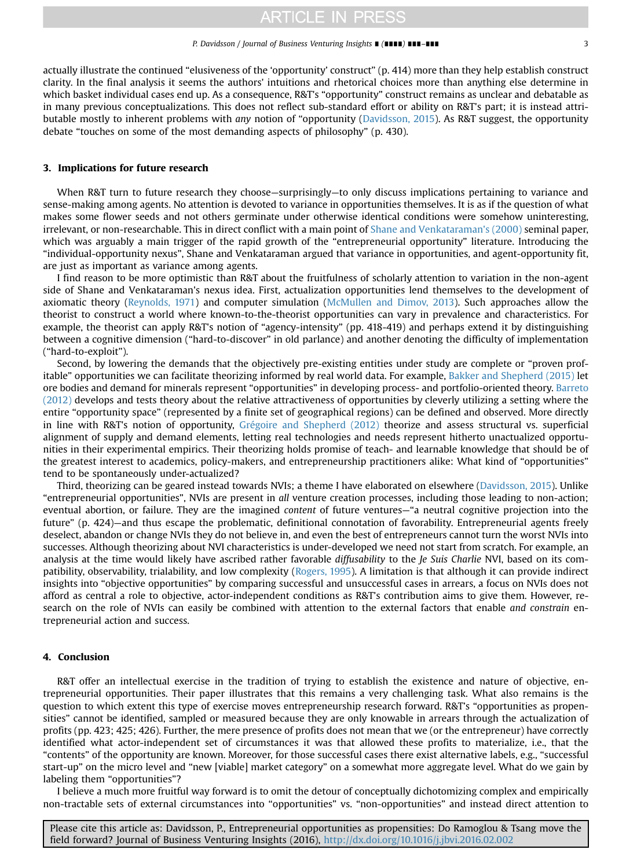#### P. Davidsson / Journal of Business Venturing Insights ∎ (∎∎∎∎) ∎∎∎–∎∎∎ 3

actually illustrate the continued "elusiveness of the 'opportunity' construct" (p. 414) more than they help establish construct clarity. In the final analysis it seems the authors' intuitions and rhetorical choices more than anything else determine in which basket individual cases end up. As a consequence, R&T's "opportunity" construct remains as unclear and debatable as in many previous conceptualizations. This does not reflect sub-standard effort or ability on R&T's part; it is instead attributable mostly to inherent problems with any notion of "opportunity [\(Davidsson, 2015\)](#page-3-0). As R&T suggest, the opportunity debate "touches on some of the most demanding aspects of philosophy" (p. 430).

### 3. Implications for future research

When R&T turn to future research they choose—surprisingly—to only discuss implications pertaining to variance and sense-making among agents. No attention is devoted to variance in opportunities themselves. It is as if the question of what makes some flower seeds and not others germinate under otherwise identical conditions were somehow uninteresting, irrelevant, or non-researchable. This in direct conflict with a main point of [Shane and Venkataraman's \(2000\)](#page-3-0) seminal paper, which was arguably a main trigger of the rapid growth of the "entrepreneurial opportunity" literature. Introducing the "individual-opportunity nexus", Shane and Venkataraman argued that variance in opportunities, and agent-opportunity fit, are just as important as variance among agents.

I find reason to be more optimistic than R&T about the fruitfulness of scholarly attention to variation in the non-agent side of Shane and Venkataraman's nexus idea. First, actualization opportunities lend themselves to the development of axiomatic theory ([Reynolds, 1971\)](#page-3-0) and computer simulation ([McMullen and Dimov, 2013](#page-3-0)). Such approaches allow the theorist to construct a world where known-to-the-theorist opportunities can vary in prevalence and characteristics. For example, the theorist can apply R&T's notion of "agency-intensity" (pp. 418-419) and perhaps extend it by distinguishing between a cognitive dimension ("hard-to-discover" in old parlance) and another denoting the difficulty of implementation ("hard-to-exploit").

Second, by lowering the demands that the objectively pre-existing entities under study are complete or "proven profitable" opportunities we can facilitate theorizing informed by real world data. For example, [Bakker and Shepherd \(2015\)](#page-3-0) let ore bodies and demand for minerals represent "opportunities" in developing process- and portfolio-oriented theory. [Barreto](#page-3-0) [\(2012\)](#page-3-0) develops and tests theory about the relative attractiveness of opportunities by cleverly utilizing a setting where the entire "opportunity space" (represented by a finite set of geographical regions) can be defined and observed. More directly in line with R&T's notion of opportunity, [Grégoire and Shepherd \(2012\)](#page-3-0) theorize and assess structural vs. superficial alignment of supply and demand elements, letting real technologies and needs represent hitherto unactualized opportunities in their experimental empirics. Their theorizing holds promise of teach- and learnable knowledge that should be of the greatest interest to academics, policy-makers, and entrepreneurship practitioners alike: What kind of "opportunities" tend to be spontaneously under-actualized?

Third, theorizing can be geared instead towards NVIs; a theme I have elaborated on elsewhere [\(Davidsson, 2015](#page-3-0)). Unlike "entrepreneurial opportunities", NVIs are present in all venture creation processes, including those leading to non-action; eventual abortion, or failure. They are the imagined content of future ventures—"a neutral cognitive projection into the future" (p. 424)—and thus escape the problematic, definitional connotation of favorability. Entrepreneurial agents freely deselect, abandon or change NVIs they do not believe in, and even the best of entrepreneurs cannot turn the worst NVIs into successes. Although theorizing about NVI characteristics is under-developed we need not start from scratch. For example, an analysis at the time would likely have ascribed rather favorable diffusability to the Je Suis Charlie NVI, based on its compatibility, observability, trialability, and low complexity ([Rogers, 1995](#page-3-0)). A limitation is that although it can provide indirect insights into "objective opportunities" by comparing successful and unsuccessful cases in arrears, a focus on NVIs does not afford as central a role to objective, actor-independent conditions as R&T's contribution aims to give them. However, research on the role of NVIs can easily be combined with attention to the external factors that enable and constrain entrepreneurial action and success.

### 4. Conclusion

R&T offer an intellectual exercise in the tradition of trying to establish the existence and nature of objective, entrepreneurial opportunities. Their paper illustrates that this remains a very challenging task. What also remains is the question to which extent this type of exercise moves entrepreneurship research forward. R&T's "opportunities as propensities" cannot be identified, sampled or measured because they are only knowable in arrears through the actualization of profits (pp. 423; 425; 426). Further, the mere presence of profits does not mean that we (or the entrepreneur) have correctly identified what actor-independent set of circumstances it was that allowed these profits to materialize, i.e., that the "contents" of the opportunity are known. Moreover, for those successful cases there exist alternative labels, e.g., "successful start-up" on the micro level and "new [viable] market category" on a somewhat more aggregate level. What do we gain by labeling them "opportunities"?

I believe a much more fruitful way forward is to omit the detour of conceptually dichotomizing complex and empirically non-tractable sets of external circumstances into "opportunities" vs. "non-opportunities" and instead direct attention to

Please cite this article as: Davidsson, P., Entrepreneurial opportunities as propensities: Do Ramoglou & Tsang move the field forward? Journal of Business Venturing Insights (2016), http://dx.doi.org/10.1016/j.jbvi.2016.02.002